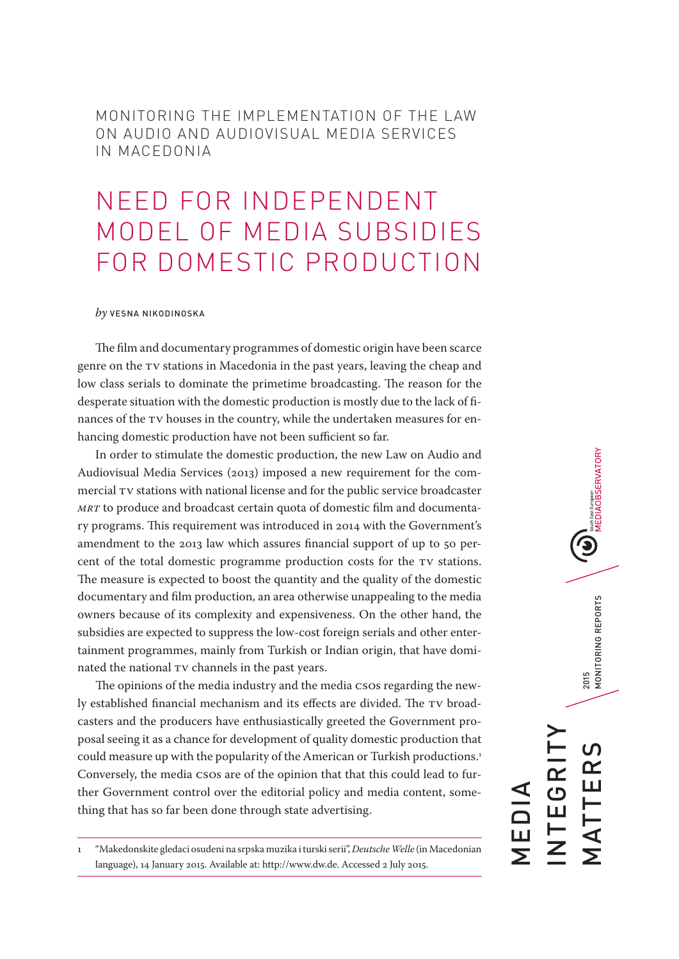MONITORING THE IMPLEMENTATION OF THE LAW ON AUDIO AND AUDIOVISUAL MEDIA SERVICES IN MACEDONIA

# NEED FOR INDEPENDENT MODEL OF MEDIA SUBSIDIES FOR DOMESTIC PRODUCTION

#### *by* VESNA NIKODINOSKA

The film and documentary programmes of domestic origin have been scarce genre on the TV stations in Macedonia in the past years, leaving the cheap and low class serials to dominate the primetime broadcasting. The reason for the desperate situation with the domestic production is mostly due to the lack of finances of the TV houses in the country, while the undertaken measures for enhancing domestic production have not been sufficient so far.

In order to stimulate the domestic production, the new Law on Audio and Audiovisual Media Services (2013) imposed a new requirement for the commercial TV stations with national license and for the public service broadcaster *MRT* to produce and broadcast certain quota of domestic film and documentary programs. This requirement was introduced in 2014 with the Government's amendment to the 2013 law which assures financial support of up to 50 percent of the total domestic programme production costs for the TV stations. The measure is expected to boost the quantity and the quality of the domestic documentary and film production, an area otherwise unappealing to the media owners because of its complexity and expensiveness. On the other hand, the subsidies are expected to suppress the low-cost foreign serials and other entertainment programmes, mainly from Turkish or Indian origin, that have dominated the national TV channels in the past years.

The opinions of the media industry and the media CSOs regarding the newly established financial mechanism and its effects are divided. The TV broadcasters and the producers have enthusiastically greeted the Government proposal seeing it as a chance for development of quality domestic production that could measure up with the popularity of the American or Turkish productions.1 Conversely, the media CSOs are of the opinion that that this could lead to further Government control over the editorial policy and media content, something that has so far been done through state advertising.

1 "Makedonskite gledaci osudeni na srpska muzika i turski serii", *Deutsche Welle* (in Macedonian language), 14 January 2015. Available at: http://www.dw.de. Accessed 2 July 2015.

South East European<br>MEDIAOBSERVATORY 2015<br>MONITORING REPORTS MATTERS 2015 MONITORING REPORTS INTEGRITY <u>ທ</u> EGRI  $\alpha$ TTEF MEDIA **AV**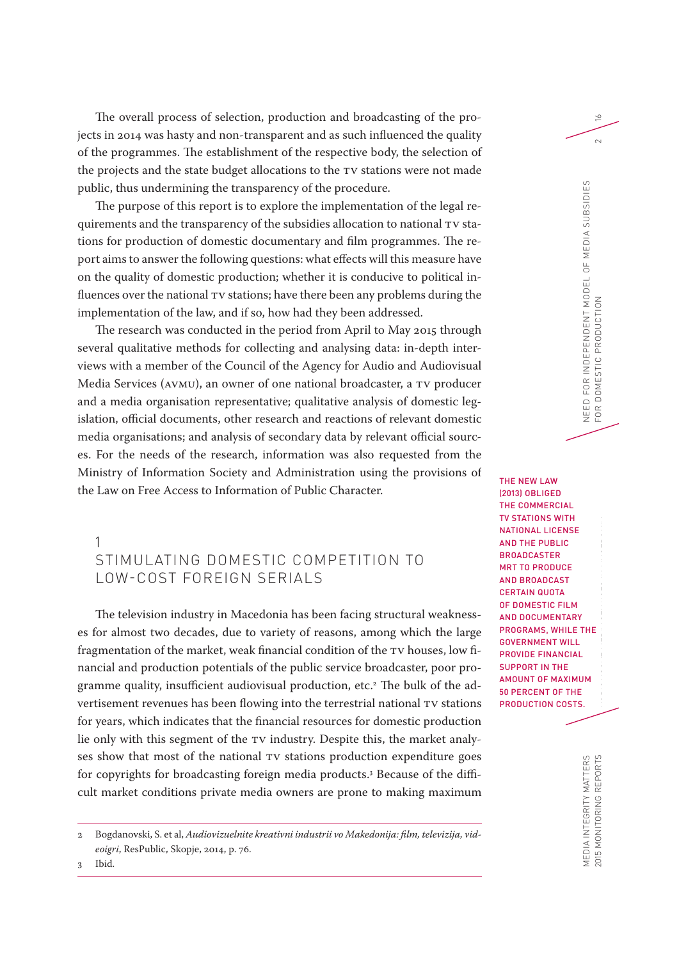The overall process of selection, production and broadcasting of the projects in 2014 was hasty and non-transparent and as such influenced the quality of the programmes. The establishment of the respective body, the selection of the projects and the state budget allocations to the TV stations were not made public, thus undermining the transparency of the procedure.

The purpose of this report is to explore the implementation of the legal requirements and the transparency of the subsidies allocation to national TV stations for production of domestic documentary and film programmes. The report aims to answer the following questions: what effects will this measure have on the quality of domestic production; whether it is conducive to political influences over the national TV stations; have there been any problems during the implementation of the law, and if so, how had they been addressed.

The research was conducted in the period from April to May 2015 through several qualitative methods for collecting and analysing data: in-depth interviews with a member of the Council of the Agency for Audio and Audiovisual Media Services (AVMU), an owner of one national broadcaster, a TV producer and a media organisation representative; qualitative analysis of domestic legislation, official documents, other research and reactions of relevant domestic media organisations; and analysis of secondary data by relevant official sources. For the needs of the research, information was also requested from the Ministry of Information Society and Administration using the provisions of the Law on Free Access to Information of Public Character.

### 1 STIMULATING DOMESTIC COMPETITION TO LOW-COST FOREIGN SERIALS

The television industry in Macedonia has been facing structural weaknesses for almost two decades, due to variety of reasons, among which the large fragmentation of the market, weak financial condition of the TV houses, low financial and production potentials of the public service broadcaster, poor programme quality, insufficient audiovisual production, etc.2 The bulk of the advertisement revenues has been flowing into the terrestrial national TV stations for years, which indicates that the financial resources for domestic production lie only with this segment of the TV industry. Despite this, the market analyses show that most of the national TV stations production expenditure goes for copyrights for broadcasting foreign media products.3 Because of the difficult market conditions private media owners are prone to making maximum

 $\geq$ 

 $\sim$ 

MONITORING THE IMPLEMENTATION OF THE IMPLEMENTATION IN AUDIO AND IMPLEMENTATION AND AUDIO AND AUDIO AND LAW ON<br>The LAW ON AUDIO AND LAW ON AUDIO AND LAW ON AUDIO AND LAW ON AUDIO AND LAW ON AUDIO AND LAW ON AUDIO AND LAW AUDIOVISUAL MEDIA SERVICES IN MACEDONIA THE NEW LAW (2013) OBLIGED THE COMMERCIAL TV STATIONS WITH NATIONAL LICENSE AND THE PUBLIC BROADCASTER MRT TO PRODUCE AND BROADCAST CERTAIN QUOTA OF DOMESTIC FILM AND DOCUMENTARY PROGRAMS, WHILE THE GOVERNMENT WILL PROVIDE FINANCIAL SUPPORT IN THE AMOUNT OF MAXIMUM 50 PERCENT OF THE PRODUCTION COSTS.

3 Ibid.

<sup>2</sup> Bogdanovski, S. et al, *Audiovizuelnite kreativni industrii vo Makedonija: film, televizija, videoigri*, ResPublic, Skopje, 2014, p. 76.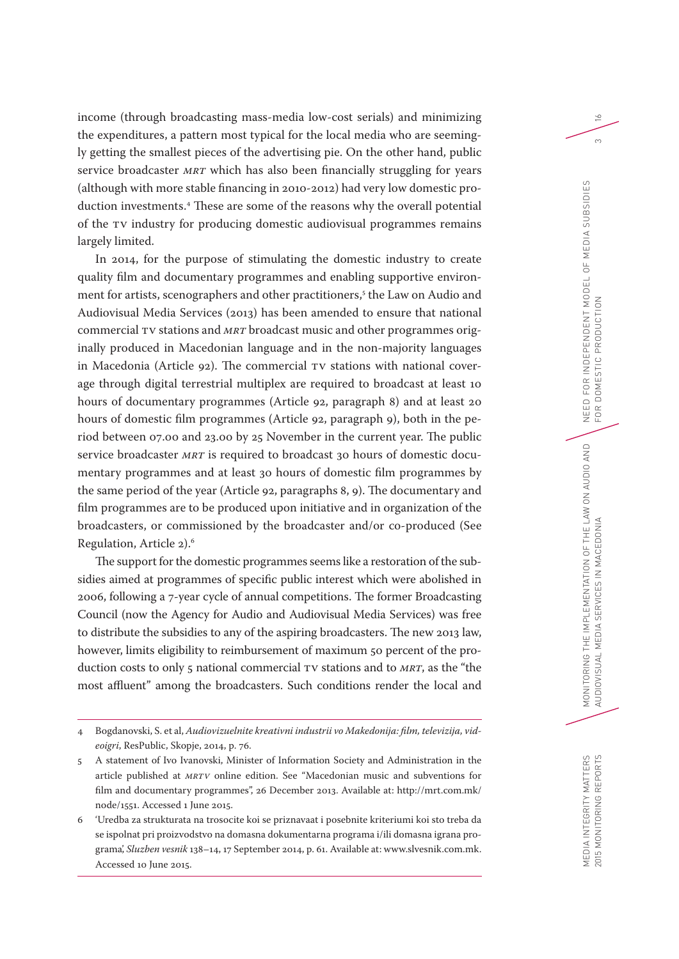income (through broadcasting mass-media low-cost serials) and minimizing the expenditures, a pattern most typical for the local media who are seemingly getting the smallest pieces of the advertising pie. On the other hand, public service broadcaster *MRT* which has also been financially struggling for years (although with more stable financing in 2010-2012) had very low domestic production investments.4 These are some of the reasons why the overall potential of the TV industry for producing domestic audiovisual programmes remains largely limited.

In 2014, for the purpose of stimulating the domestic industry to create quality film and documentary programmes and enabling supportive environment for artists, scenographers and other practitioners,<sup>s</sup> the Law on Audio and Audiovisual Media Services (2013) has been amended to ensure that national commercial TV stations and *MRT* broadcast music and other programmes originally produced in Macedonian language and in the non-majority languages in Macedonia (Article 92). The commercial TV stations with national coverage through digital terrestrial multiplex are required to broadcast at least 10 hours of documentary programmes (Article 92, paragraph 8) and at least 20 hours of domestic film programmes (Article 92, paragraph 9), both in the period between 07.00 and 23.00 by 25 November in the current year. The public service broadcaster *MRT* is required to broadcast 30 hours of domestic documentary programmes and at least 30 hours of domestic film programmes by the same period of the year (Article 92, paragraphs 8, 9). The documentary and film programmes are to be produced upon initiative and in organization of the broadcasters, or commissioned by the broadcaster and/or co-produced (See Regulation, Article 2).6

The support for the domestic programmes seems like a restoration of the subsidies aimed at programmes of specific public interest which were abolished in 2006, following a 7-year cycle of annual competitions. The former Broadcasting Council (now the Agency for Audio and Audiovisual Media Services) was free to distribute the subsidies to any of the aspiring broadcasters. The new 2013 law, however, limits eligibility to reimbursement of maximum 50 percent of the production costs to only 5 national commercial TV stations and to *MRT*, as the "the most affluent" among the broadcasters. Such conditions render the local and  $\geq$ 

 $\infty$ 

<sup>4</sup> Bogdanovski, S. et al, *Audiovizuelnite kreativni industrii vo Makedonija: film, televizija, videoigri*, ResPublic, Skopje, 2014, p. 76.

<sup>5</sup> A statement of Ivo Ivanovski, Minister of Information Society and Administration in the article published at *MRTV* online edition. See "Macedonian music and subventions for film and documentary programmes", 26 December 2013. Available at: http://mrt.com.mk/ node/1551. Accessed 1 June 2015.

<sup>6</sup> 'Uredba za strukturata na trosocite koi se priznavaat i posebnite kriteriumi koi sto treba da se ispolnat pri proizvodstvo na domasna dokumentarna programa i/ili domasna igrana programa', *Sluzben vesnik* 138–14, 17 September 2014, p. 61. Available at: www.slvesnik.com.mk. Accessed 10 June 2015.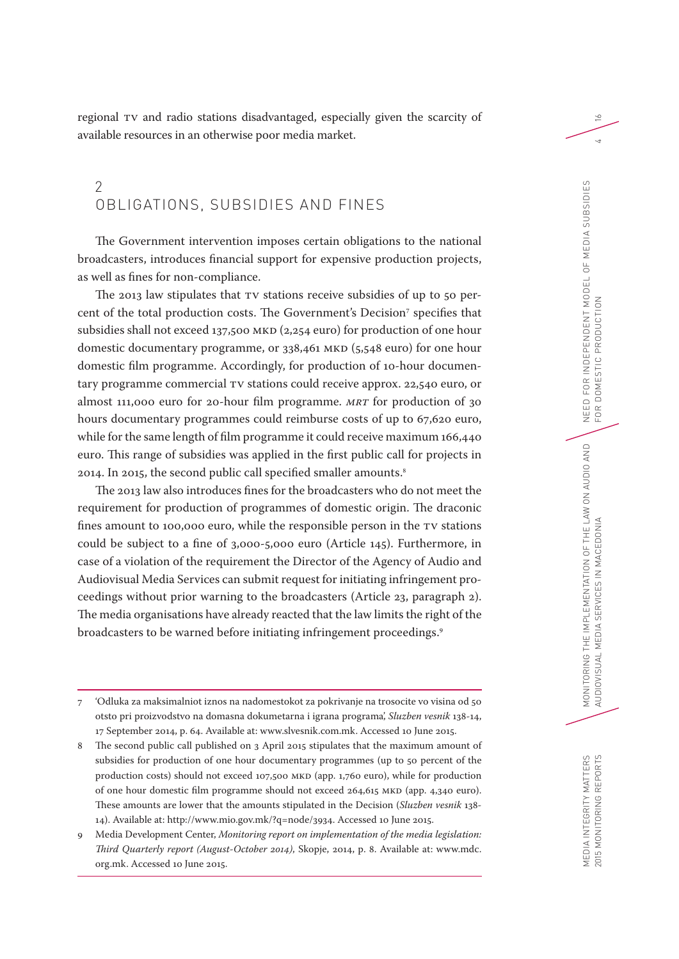regional TV and radio stations disadvantaged, especially given the scarcity of available resources in an otherwise poor media market.

### 2 OBLIGATIONS, SUBSIDIES AND FINES

The Government intervention imposes certain obligations to the national broadcasters, introduces financial support for expensive production projects, as well as fines for non-compliance.

The 2013 law stipulates that TV stations receive subsidies of up to 50 percent of the total production costs. The Government's Decision<sup>7</sup> specifies that subsidies shall not exceed 137,500 MKD (2,254 euro) for production of one hour domestic documentary programme, or 338,461 MKD (5,548 euro) for one hour domestic film programme. Accordingly, for production of 10-hour documentary programme commercial TV stations could receive approx. 22,540 euro, or almost 111,000 euro for 20-hour film programme. *MRT* for production of 30 hours documentary programmes could reimburse costs of up to 67,620 euro, while for the same length of film programme it could receive maximum 166,440 euro. This range of subsidies was applied in the first public call for projects in 2014. In 2015, the second public call specified smaller amounts.<sup>8</sup>

The 2013 law also introduces fines for the broadcasters who do not meet the requirement for production of programmes of domestic origin. The draconic fines amount to 100,000 euro, while the responsible person in the TV stations could be subject to a fine of 3,000-5,000 euro (Article 145). Furthermore, in case of a violation of the requirement the Director of the Agency of Audio and Audiovisual Media Services can submit request for initiating infringement proceedings without prior warning to the broadcasters (Article 23, paragraph 2). The media organisations have already reacted that the law limits the right of the broadcasters to be warned before initiating infringement proceedings.<sup>9</sup>

 $\geq$ 

 $\overline{4}$ 

<sup>7</sup> 'Odluka za maksimalniot iznos na nadomestokot za pokrivanje na trosocite vo visina od 50 otsto pri proizvodstvo na domasna dokumetarna i igrana programa', *Sluzben vesnik* 138-14, 17 September 2014, p. 64. Available at: www.slvesnik.com.mk. Accessed 10 June 2015.

<sup>8</sup> The second public call published on 3 April 2015 stipulates that the maximum amount of subsidies for production of one hour documentary programmes (up to 50 percent of the production costs) should not exceed 107,500 MKD (app. 1,760 euro), while for production of one hour domestic film programme should not exceed 264,615 MKD (app. 4,340 euro). These amounts are lower that the amounts stipulated in the Decision (*Sluzben vesnik* 138- 14). Available at: http://www.mio.gov.mk/?q=node/3934. Accessed 10 June 2015.

<sup>9</sup> Media Development Center, *Monitoring report on implementation of the media legislation: Third Quarterly report (August-October 2014)*, Skopje, 2014, p. 8. Available at: www.mdc. org.mk. Accessed 10 June 2015.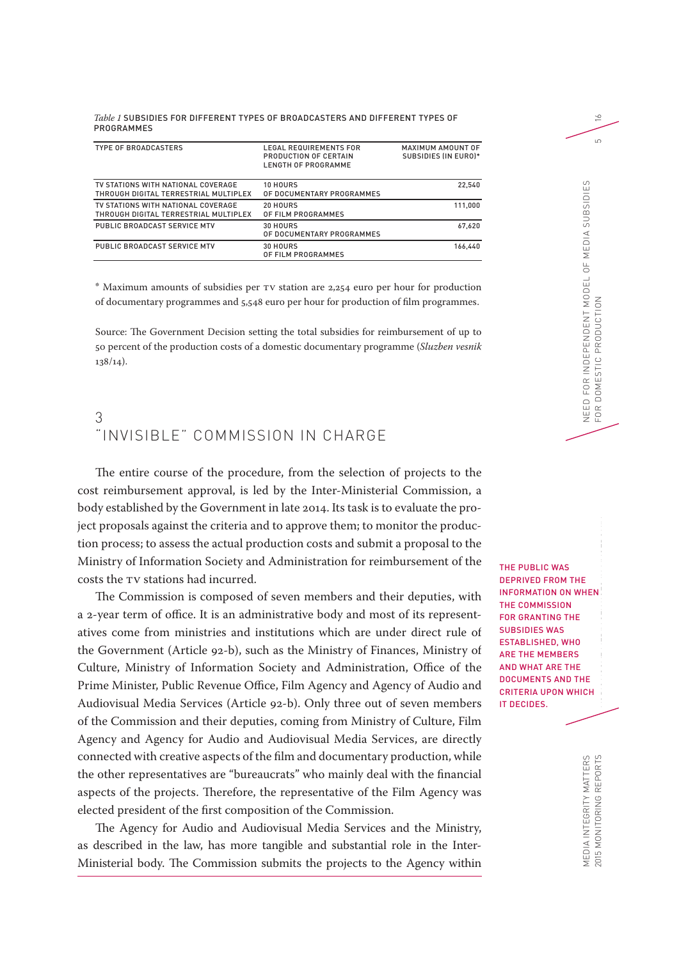| Table 1 SUBSIDIES FOR DIFFERENT TYPES OF BROADCASTERS AND DIFFERENT TYPES OF |  |  |  |
|------------------------------------------------------------------------------|--|--|--|
| PROGRAMMES                                                                   |  |  |  |

| <b>TYPE OF BROADCASTERS</b>                                                 | <b>LEGAL REQUIREMENTS FOR</b><br>PRODUCTION OF CERTAIN<br>LENGTH OF PROGRAMME | MAXIMUM AMOUNT OF<br>SUBSIDIES (IN EURO)* |
|-----------------------------------------------------------------------------|-------------------------------------------------------------------------------|-------------------------------------------|
| TV STATIONS WITH NATIONAL COVERAGE<br>THROUGH DIGITAL TERRESTRIAL MULTIPLEX | 10 HOURS<br>OF DOCUMENTARY PROGRAMMES                                         | 22.540                                    |
| TV STATIONS WITH NATIONAL COVERAGE<br>THROUGH DIGITAL TERRESTRIAL MULTIPLEX | 20 HOURS<br>OF FILM PROGRAMMES                                                | 111.000                                   |
| PUBLIC BROADCAST SERVICE MTV                                                | 30 HOURS<br>OF DOCUMENTARY PROGRAMMES                                         | 67.620                                    |
| PUBLIC BROADCAST SERVICE MTV                                                | 30 HOURS<br>OF FILM PROGRAMMES                                                | 166.440                                   |

\* Maximum amounts of subsidies per TV station are 2,254 euro per hour for production of documentary programmes and 5,548 euro per hour for production of film programmes.

Source: The Government Decision setting the total subsidies for reimbursement of up to 50 percent of the production costs of a domestic documentary programme (*Sluzben vesnik*  $138/14$ ).

#### 3 "INVISIBLE" COMMISSION IN CHARGE

The entire course of the procedure, from the selection of projects to the cost reimbursement approval, is led by the Inter-Ministerial Commission, a body established by the Government in late 2014. Its task is to evaluate the project proposals against the criteria and to approve them; to monitor the production process; to assess the actual production costs and submit a proposal to the Ministry of Information Society and Administration for reimbursement of the costs the TV stations had incurred.

The Commission is composed of seven members and their deputies, with a 2-year term of office. It is an administrative body and most of its representatives come from ministries and institutions which are under direct rule of the Government (Article 92-b), such as the Ministry of Finances, Ministry of Culture, Ministry of Information Society and Administration, Office of the Prime Minister, Public Revenue Office, Film Agency and Agency of Audio and Audiovisual Media Services (Article 92-b). Only three out of seven members of the Commission and their deputies, coming from Ministry of Culture, Film Agency and Agency for Audio and Audiovisual Media Services, are directly connected with creative aspects of the film and documentary production, while the other representatives are "bureaucrats" who mainly deal with the financial aspects of the projects. Therefore, the representative of the Film Agency was elected president of the first composition of the Commission.

The Agency for Audio and Audiovisual Media Services and the Ministry, as described in the law, has more tangible and substantial role in the Inter-Ministerial body. The Commission submits the projects to the Agency within

E<br>ME<br>C THE PUBLIC WAS DEPRIVED FROM THE INFORMATION ON WHEN THE COMMISSION FOR GRANTING THE SUBSIDIES WAS ESTABLISHED, WHO ARE THE MEMBERS AND WHAT ARE THE DOCUMENTS AND THE CRITERIA UPON WHICH IT DECIDES.

MEDIA INTEGRITY MATTERS

 $\approx$  $\overline{5}$ FOR DOMESTIC PRODUCTION 5

NEED FOR INDEPENDENT MODEL OF MEDIA SUBSIDIES

DOMESTIC PRODUCTI

FOR

NEED FOR INDEPENDENT MODEL OF MEDIA SUBSIDIES  $\leq$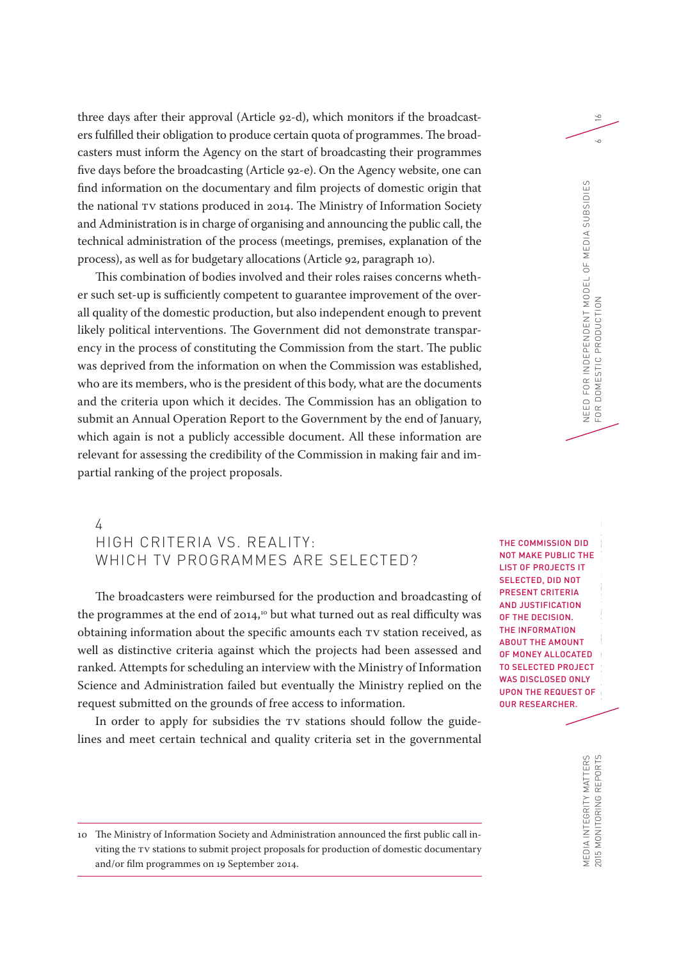three days after their approval (Article 92-d), which monitors if the broadcasters fulfilled their obligation to produce certain quota of programmes. The broadcasters must inform the Agency on the start of broadcasting their programmes five days before the broadcasting (Article 92-e). On the Agency website, one can find information on the documentary and film projects of domestic origin that the national TV stations produced in 2014. The Ministry of Information Society and Administration is in charge of organising and announcing the public call, the technical administration of the process (meetings, premises, explanation of the process), as well as for budgetary allocations (Article 92, paragraph 10).

This combination of bodies involved and their roles raises concerns whether such set-up is sufficiently competent to guarantee improvement of the overall quality of the domestic production, but also independent enough to prevent likely political interventions. The Government did not demonstrate transparency in the process of constituting the Commission from the start. The public was deprived from the information on when the Commission was established, who are its members, who is the president of this body, what are the documents and the criteria upon which it decides. The Commission has an obligation to submit an Annual Operation Report to the Government by the end of January, which again is not a publicly accessible document. All these information are relevant for assessing the credibility of the Commission in making fair and impartial ranking of the project proposals.

## 4 HIGH CRITERIA VS. REALITY: WHICH TV PROGRAMMES ARE SELECTED?

The broadcasters were reimbursed for the production and broadcasting of the programmes at the end of 2014,<sup>10</sup> but what turned out as real difficulty was obtaining information about the specific amounts each TV station received, as well as distinctive criteria against which the projects had been assessed and ranked. Attempts for scheduling an interview with the Ministry of Information Science and Administration failed but eventually the Ministry replied on the request submitted on the grounds of free access to information.

In order to apply for subsidies the TV stations should follow the guidelines and meet certain technical and quality criteria set in the governmental

D<br>The IMPLEMENT<br>Contration of the LAM<br>Contration of the LAM On Audio Audio Audio Andrews AUDIOVISUAL MEDIA SERVICES IN MACEDONIA THE COMMISSION DID NOT MAKE PUBLIC THE LIST OF PROJECTS IT SELECTED, DID NOT PRESENT CRITERIA AND JUSTIFICATION OF THE DECISION. THE INFORMATION ABOUT THE AMOUNT OF MONEY ALLOCATED TO SELECTED PROJECT WAS DISCLOSED ONLY UPON THE REQUEST OF OUR RESEARCHER.

NEED FOR INDEPENDENT MODEL OF MEDIA SUBSIDIES

NEED FOR INDEPENDENT MODEL OF MEDIA SUBSIDIES  $\leq$ 

FOR DOMESTIC PRODUCTION 6

DOMESTIC PRODUCTI

FOR

 $\geq$ 

 $\sim$ 

MEDIA INTEGRITY MATTERS<br>2015 MONITORING REPORTS MEDIA INTEGRITY MATTERS 2015 MONITORING REPORTS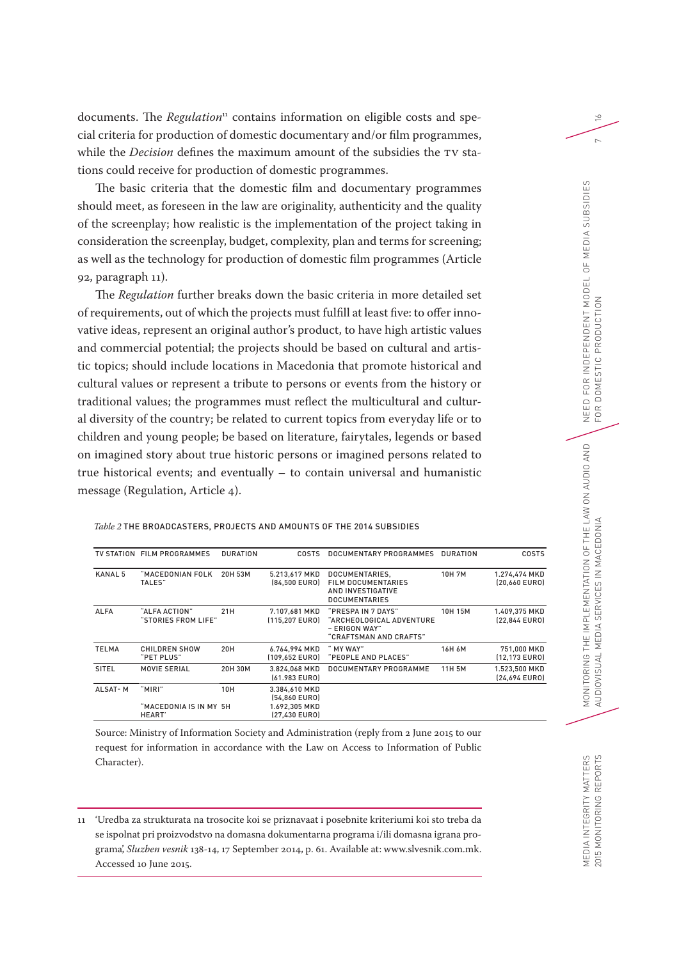documents. The *Regulation* 11 contains information on eligible costs and special criteria for production of domestic documentary and/or film programmes, while the *Decision* defines the maximum amount of the subsidies the TV stations could receive for production of domestic programmes.

The basic criteria that the domestic film and documentary programmes should meet, as foreseen in the law are originality, authenticity and the quality of the screenplay; how realistic is the implementation of the project taking in consideration the screenplay, budget, complexity, plan and terms for screening; as well as the technology for production of domestic film programmes (Article 92, paragraph 11).

The *Regulation* further breaks down the basic criteria in more detailed set of requirements, out of which the projects must fulfill at least five: to offer innovative ideas, represent an original author's product, to have high artistic values and commercial potential; the projects should be based on cultural and artistic topics; should include locations in Macedonia that promote historical and cultural values or represent a tribute to persons or events from the history or traditional values; the programmes must reflect the multicultural and cultural diversity of the country; be related to current topics from everyday life or to children and young people; be based on literature, fairytales, legends or based on imagined story about true historic persons or imagined persons related to true historical events; and eventually – to contain universal and humanistic message (Regulation, Article 4).

#### *Table 2* THE BROADCASTERS, PROJECTS AND AMOUNTS OF THE 2014 SUBSIDIES

|                | TV STATION FILM PROGRAMMES                 | <b>DURATION</b> | <b>COSTS</b>                                                     | DOCUMENTARY PROGRAMMES                                                                    | DURATION     | <b>COSTS</b>                   |
|----------------|--------------------------------------------|-----------------|------------------------------------------------------------------|-------------------------------------------------------------------------------------------|--------------|--------------------------------|
| <b>KANAL 5</b> | "MACEDONIAN FOLK<br>TALES"                 | 20H 53M         | 5.213,617 MKD<br>(84.500 EURO)                                   | DOCUMENTARIES,<br><b>FILM DOCUMENTARIES</b><br>AND INVESTIGATIVE<br><b>DOCUMENTARIES</b>  | <b>10H7M</b> | 1.274,474 MKD<br>(20.660 EURO) |
| <b>ALFA</b>    | "ALFA ACTION"<br>"STORIES FROM LIFE"       | 21H             | 7.107,681 MKD<br>(115,207 EURO)                                  | "PRESPA IN 7 DAYS"<br>"ARCHEOLOGICAL ADVENTURE<br>- ERIGON WAY"<br>"CRAFTSMAN AND CRAFTS" | 10H 15M      | 1.409,375 MKD<br>(22.844 EURO) |
| <b>TELMA</b>   | CHILDREN SHOW<br>"PET PLUS"                | 20H             | 6.764.994 MKD<br>(109.652 EURO)                                  | " MY WAY"<br>"PEOPLE AND PLACES"                                                          | 16H 6M       | 751,000 MKD<br>[12.173 EURO]   |
| SITEL          | MOVIE SERIAL                               | 20H 30M         | 3.824.068 MKD<br>(61.983 EURO)                                   | DOCUMENTARY PROGRAMME                                                                     | 11H 5M       | 1.523.500 MKD<br>(24,694 EURO) |
| <b>ALSAT-M</b> | "MIRI"<br>"MACEDONIA IS IN MY 5H<br>HEART' | 10H             | 3.384,610 MKD<br>(54,860 EURO)<br>1.692,305 MKD<br>(27.430 EURO) |                                                                                           |              |                                |

Source: Ministry of Information Society and Administration (reply from 2 June 2015 to our request for information in accordance with the Law on Access to Information of Public Character).

11 'Uredba za strukturata na trosocite koi se priznavaat i posebnite kriteriumi koi sto treba da se ispolnat pri proizvodstvo na domasna dokumentarna programa i/ili domasna igrana programa', *Sluzben vesnik* 138-14, 17 September 2014, p. 61. Available at: www.slvesnik.com.mk. Accessed 10 June 2015.

 $\geq$ 

 $\sim$ 

MEDIA INTEGRITY MATTERS 2015 MONITORING REPORTS

MEDIA INTEGRITY MATTERS 2015 MONITORING REPORTS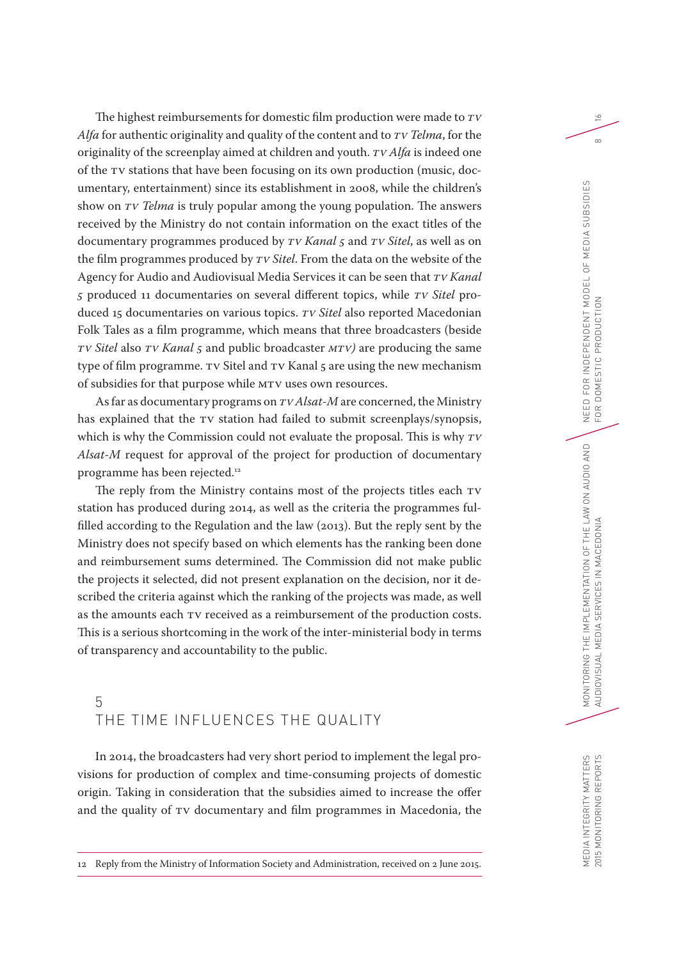The highest reimbursements for domestic film production were made to *TV Alfa* for authentic originality and quality of the content and to *TV Telma*, for the originality of the screenplay aimed at children and youth. *TV Alfa* is indeed one of the TV stations that have been focusing on its own production (music, documentary, entertainment) since its establishment in 2008, while the children's show on *TV Telma* is truly popular among the young population. The answers received by the Ministry do not contain information on the exact titles of the documentary programmes produced by *TV Kanal 5* and *TV Sitel*, as well as on the film programmes produced by *TV Sitel*. From the data on the website of the Agency for Audio and Audiovisual Media Services it can be seen that *TV Kanal 5* produced 11 documentaries on several different topics, while *TV Sitel* produced 15 documentaries on various topics. *TV Sitel* also reported Macedonian Folk Tales as a film programme, which means that three broadcasters (beside *TV Sitel* also *TV Kanal 5* and public broadcaster *MTV)* are producing the same type of film programme. TV Sitel and TV Kanal 5 are using the new mechanism of subsidies for that purpose while MTV uses own resources.

As far as documentary programs on *TV Alsat-M* are concerned, the Ministry has explained that the TV station had failed to submit screenplays/synopsis, which is why the Commission could not evaluate the proposal. This is why *TV Alsat-M* request for approval of the project for production of documentary programme has been rejected.12

The reply from the Ministry contains most of the projects titles each TV station has produced during 2014, as well as the criteria the programmes fulfilled according to the Regulation and the law (2013). But the reply sent by the Ministry does not specify based on which elements has the ranking been done and reimbursement sums determined. The Commission did not make public the projects it selected, did not present explanation on the decision, nor it described the criteria against which the ranking of the projects was made, as well as the amounts each TV received as a reimbursement of the production costs. This is a serious shortcoming in the work of the inter-ministerial body in terms of transparency and accountability to the public.

# 5 THE TIME INFLUENCES THE QUALITY

In 2014, the broadcasters had very short period to implement the legal provisions for production of complex and time-consuming projects of domestic origin. Taking in consideration that the subsidies aimed to increase the offer and the quality of TV documentary and film programmes in Macedonia, the

 $\geq$ 

 $\infty$ 

<sup>12</sup> Reply from the Ministry of Information Society and Administration, received on 2 June 2015.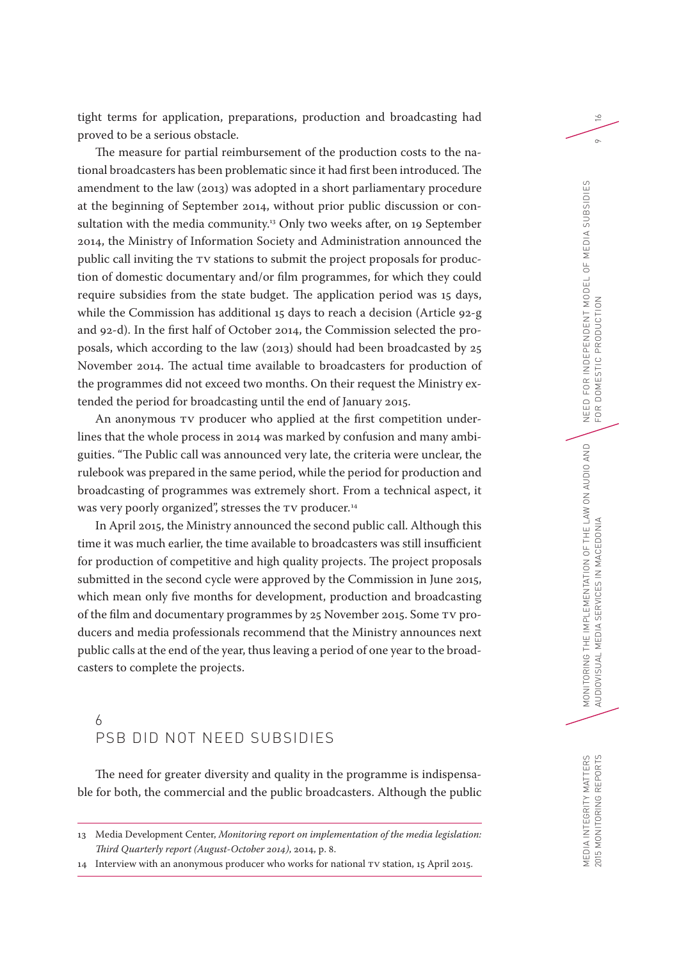tight terms for application, preparations, production and broadcasting had proved to be a serious obstacle.

The measure for partial reimbursement of the production costs to the national broadcasters has been problematic since it had first been introduced. The amendment to the law (2013) was adopted in a short parliamentary procedure at the beginning of September 2014, without prior public discussion or consultation with the media community.<sup>13</sup> Only two weeks after, on 19 September 2014, the Ministry of Information Society and Administration announced the public call inviting the TV stations to submit the project proposals for production of domestic documentary and/or film programmes, for which they could require subsidies from the state budget. The application period was 15 days, while the Commission has additional 15 days to reach a decision (Article 92-g and 92-d). In the first half of October 2014, the Commission selected the proposals, which according to the law (2013) should had been broadcasted by 25 November 2014. The actual time available to broadcasters for production of the programmes did not exceed two months. On their request the Ministry extended the period for broadcasting until the end of January 2015.

An anonymous TV producer who applied at the first competition underlines that the whole process in 2014 was marked by confusion and many ambiguities. "The Public call was announced very late, the criteria were unclear, the rulebook was prepared in the same period, while the period for production and broadcasting of programmes was extremely short. From a technical aspect, it was very poorly organized", stresses the TV producer*.* 14

In April 2015, the Ministry announced the second public call. Although this time it was much earlier, the time available to broadcasters was still insufficient for production of competitive and high quality projects. The project proposals submitted in the second cycle were approved by the Commission in June 2015, which mean only five months for development, production and broadcasting of the film and documentary programmes by 25 November 2015. Some TV producers and media professionals recommend that the Ministry announces next public calls at the end of the year, thus leaving a period of one year to the broadcasters to complete the projects.

## 6 PSB DID NOT NEED SUBSIDIES

The need for greater diversity and quality in the programme is indispensable for both, the commercial and the public broadcasters. Although the public  $\geq$ 

 $\sigma$ 

MEDIA INTEGRITY MATTERS 2015 MONITORING REPORTS

MEDIA INTEGRITY MATTERS 2015 MONITORING REPORTS

<sup>13</sup> Media Development Center, *Monitoring report on implementation of the media legislation: Third Quarterly report (August-October 2014)*, 2014, p. 8.

<sup>14</sup> Interview with an anonymous producer who works for national TV station, 15 April 2015.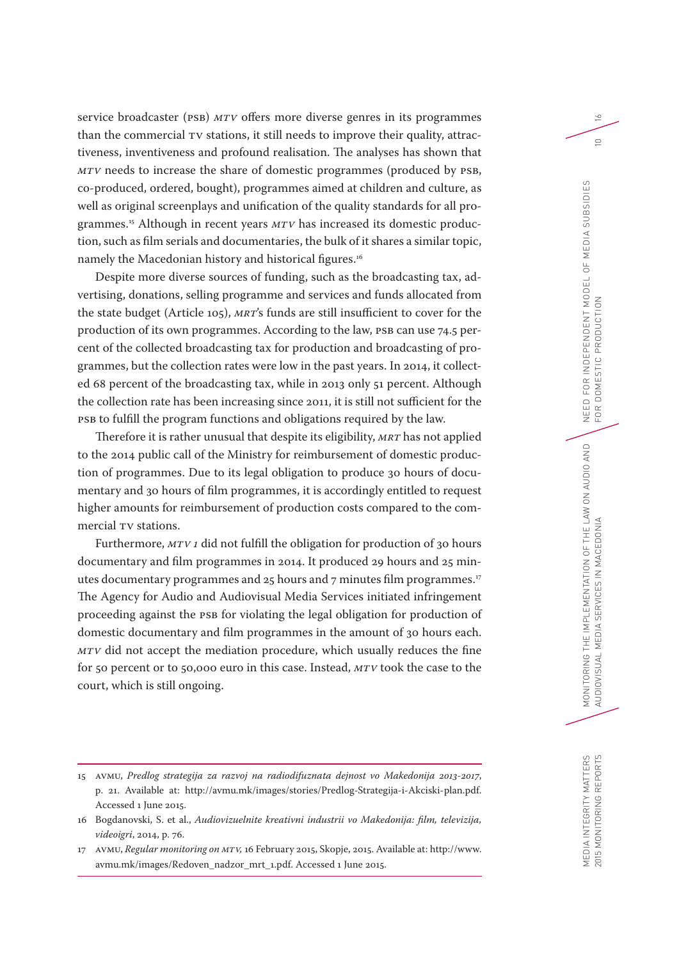service broadcaster (PSB) *MTV* offers more diverse genres in its programmes than the commercial TV stations, it still needs to improve their quality, attractiveness, inventiveness and profound realisation. The analyses has shown that *MTV* needs to increase the share of domestic programmes (produced by PSB, co-produced, ordered, bought), programmes aimed at children and culture, as well as original screenplays and unification of the quality standards for all programmes.<sup>15</sup> Although in recent years *MTV* has increased its domestic production, such as film serials and documentaries, the bulk of it shares a similar topic, namely the Macedonian history and historical figures.<sup>16</sup>

Despite more diverse sources of funding, such as the broadcasting tax, advertising, donations, selling programme and services and funds allocated from the state budget (Article 105), *MRT*'s funds are still insufficient to cover for the production of its own programmes. According to the law, PSB can use 74.5 percent of the collected broadcasting tax for production and broadcasting of programmes, but the collection rates were low in the past years. In 2014, it collected 68 percent of the broadcasting tax, while in 2013 only 51 percent. Although the collection rate has been increasing since 2011, it is still not sufficient for the PSB to fulfill the program functions and obligations required by the law.

Therefore it is rather unusual that despite its eligibility, *MRT* has not applied to the 2014 public call of the Ministry for reimbursement of domestic production of programmes. Due to its legal obligation to produce 30 hours of documentary and 30 hours of film programmes, it is accordingly entitled to request higher amounts for reimbursement of production costs compared to the commercial TV stations.

Furthermore, *MTV 1* did not fulfill the obligation for production of 30 hours documentary and film programmes in 2014. It produced 29 hours and 25 minutes documentary programmes and 25 hours and 7 minutes film programmes.<sup>17</sup> The Agency for Audio and Audiovisual Media Services initiated infringement proceeding against the PSB for violating the legal obligation for production of domestic documentary and film programmes in the amount of 30 hours each. *MTV* did not accept the mediation procedure, which usually reduces the fine for 50 percent or to 50,000 euro in this case. Instead, *MTV* took the case to the court, which is still ongoing.

 $\geq$ 

 $\supseteq$ 

<sup>15</sup> AVMU, *Predlog strategija za razvoj na radiodifuznata dejnost vo Makedonija 2013-2017*, p. 21. Available at: http://avmu.mk/images/stories/Predlog-Strategija-i-Akciski-plan.pdf. Accessed 1 June 2015.

<sup>16</sup> Bogdanovski, S. et al., *Audiovizuelnite kreativni industrii vo Makedonija: film, televizija, videoigri*, 2014, p. 76.

<sup>17</sup> AVMU, *Regular monitoring on MTV,* 16 February 2015, Skopje, 2015. Available at: http://www. avmu.mk/images/Redoven\_nadzor\_mrt\_1.pdf. Accessed 1 June 2015.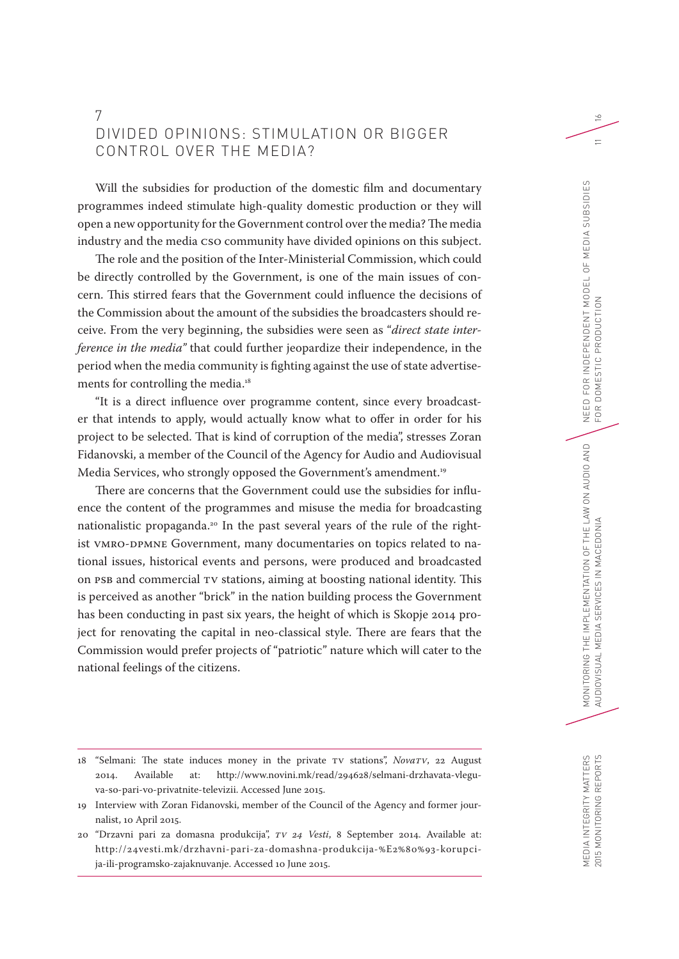## 7 DIVIDED OPINIONS: STIMULATION OR BIGGER CONTROL OVER THE MEDIA?

Will the subsidies for production of the domestic film and documentary programmes indeed stimulate high-quality domestic production or they will open a new opportunity for the Government control over the media? The media industry and the media CSO community have divided opinions on this subject.

The role and the position of the Inter-Ministerial Commission, which could be directly controlled by the Government, is one of the main issues of concern. This stirred fears that the Government could influence the decisions of the Commission about the amount of the subsidies the broadcasters should receive. From the very beginning, the subsidies were seen as "*direct state interference in the media"* that could further jeopardize their independence, in the period when the media community is fighting against the use of state advertisements for controlling the media.<sup>18</sup>

"It is a direct influence over programme content, since every broadcaster that intends to apply, would actually know what to offer in order for his project to be selected. That is kind of corruption of the media", stresses Zoran Fidanovski, a member of the Council of the Agency for Audio and Audiovisual Media Services, who strongly opposed the Government's amendment.<sup>19</sup>

There are concerns that the Government could use the subsidies for influence the content of the programmes and misuse the media for broadcasting nationalistic propaganda.<sup>20</sup> In the past several years of the rule of the rightist VMRO-DPMNE Government, many documentaries on topics related to national issues, historical events and persons, were produced and broadcasted on PSB and commercial TV stations, aiming at boosting national identity. This is perceived as another "brick" in the nation building process the Government has been conducting in past six years, the height of which is Skopje 2014 project for renovating the capital in neo-classical style. There are fears that the Commission would prefer projects of "patriotic" nature which will cater to the national feelings of the citizens.

 $\geq$ 

 $=$ 

<sup>18</sup> "Selmani: The state induces money in the private TV stations", *NovaTV*, 22 August 2014. Available at: http://www.novini.mk/read/294628/selmani-drzhavata-vleguva-so-pari-vo-privatnite-televizii. Accessed June 2015.

<sup>19</sup> Interview with Zoran Fidanovski, member of the Council of the Agency and former journalist, 10 April 2015.

<sup>20</sup> "Drzavni pari za domasna produkcija", *TV 24 Vesti*, 8 September 2014. Available at: http://24vesti.mk/drzhavni-pari-za-domashna-produkcija-%E2%80%93-korupcija-ili-programsko-zajaknuvanje. Accessed 10 June 2015.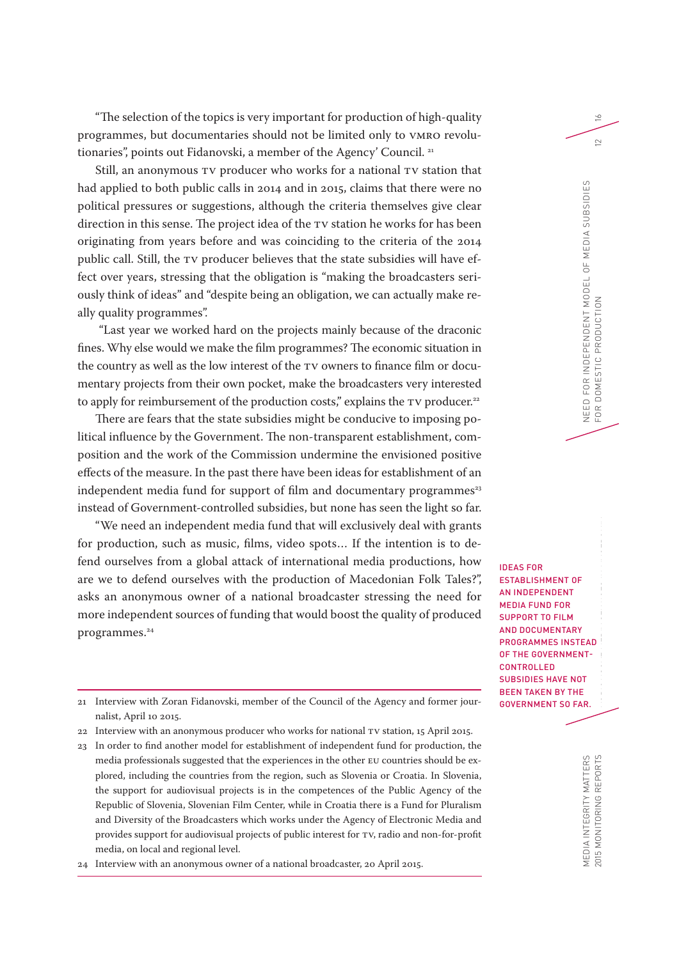"The selection of the topics is very important for production of high-quality programmes, but documentaries should not be limited only to VMRO revolutionaries", points out Fidanovski, a member of the Agency' Council.<sup>21</sup>

Still, an anonymous TV producer who works for a national TV station that had applied to both public calls in 2014 and in 2015, claims that there were no political pressures or suggestions, although the criteria themselves give clear direction in this sense. The project idea of the TV station he works for has been originating from years before and was coinciding to the criteria of the 2014 public call. Still, the TV producer believes that the state subsidies will have effect over years, stressing that the obligation is "making the broadcasters seriously think of ideas" and "despite being an obligation, we can actually make really quality programmes".

 "Last year we worked hard on the projects mainly because of the draconic fines. Why else would we make the film programmes? The economic situation in the country as well as the low interest of the TV owners to finance film or documentary projects from their own pocket, make the broadcasters very interested to apply for reimbursement of the production costs," explains the TV producer.<sup>22</sup>

There are fears that the state subsidies might be conducive to imposing political influence by the Government. The non-transparent establishment, composition and the work of the Commission undermine the envisioned positive effects of the measure. In the past there have been ideas for establishment of an independent media fund for support of film and documentary programmes<sup>23</sup> instead of Government-controlled subsidies, but none has seen the light so far.

"We need an independent media fund that will exclusively deal with grants for production, such as music, films, video spots… If the intention is to defend ourselves from a global attack of international media productions, how are we to defend ourselves with the production of Macedonian Folk Tales?", asks an anonymous owner of a national broadcaster stressing the need for more independent sources of funding that would boost the quality of produced programmes.<sup>24</sup>

EA<br>IT<br>:  $\overline{\phantom{a}}$ IDEAS FOR ESTABLISHMENT OF AN INDEPENDENT MEDIA FUND FOR SUPPORT TO FILM AND DOCUMENTARY PROGRAMMES INSTEAD OF THE GOVERNMENT-**CONTROLLED** SUBSIDIES HAVE NOT BEEN TAKEN BY THE GOVERNMENT SO FAR.

- 21 Interview with Zoran Fidanovski, member of the Council of the Agency and former journalist, April 10 2015.
- 22 Interview with an anonymous producer who works for national TV station, 15 April 2015.
- 23 In order to find another model for establishment of independent fund for production, the media professionals suggested that the experiences in the other EU countries should be explored, including the countries from the region, such as Slovenia or Croatia. In Slovenia, the support for audiovisual projects is in the competences of the Public Agency of the Republic of Slovenia, Slovenian Film Center, while in Croatia there is a Fund for Pluralism and Diversity of the Broadcasters which works under the Agency of Electronic Media and provides support for audiovisual projects of public interest for TV, radio and non-for-profit media, on local and regional level.

24 Interview with an anonymous owner of a national broadcaster, 20 April 2015.

 $\geq$ 

MEDIA INTEGRITY MATTERS<br>2015 MONITORING REPORTS MEDIA INTEGRITY MATTERS 2015 MONITORING REPORTS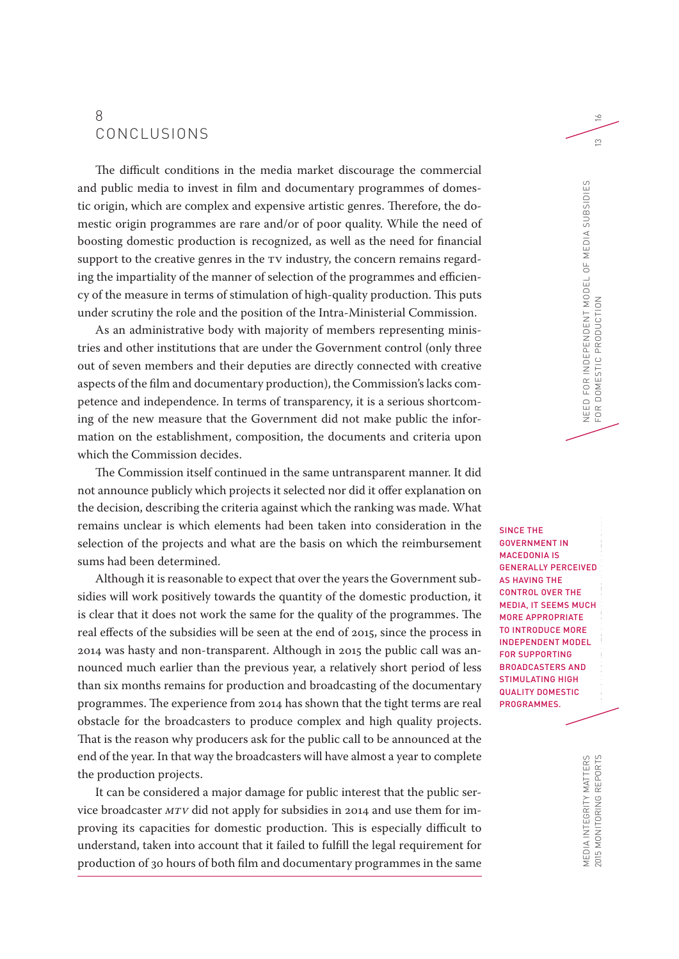### 8 CONCLUSIONS

The difficult conditions in the media market discourage the commercial and public media to invest in film and documentary programmes of domestic origin, which are complex and expensive artistic genres. Therefore, the domestic origin programmes are rare and/or of poor quality. While the need of boosting domestic production is recognized, as well as the need for financial support to the creative genres in the TV industry, the concern remains regarding the impartiality of the manner of selection of the programmes and efficiency of the measure in terms of stimulation of high-quality production. This puts under scrutiny the role and the position of the Intra-Ministerial Commission.

As an administrative body with majority of members representing ministries and other institutions that are under the Government control (only three out of seven members and their deputies are directly connected with creative aspects of the film and documentary production), the Commission's lacks competence and independence. In terms of transparency, it is a serious shortcoming of the new measure that the Government did not make public the information on the establishment, composition, the documents and criteria upon which the Commission decides.

The Commission itself continued in the same untransparent manner. It did not announce publicly which projects it selected nor did it offer explanation on the decision, describing the criteria against which the ranking was made. What remains unclear is which elements had been taken into consideration in the selection of the projects and what are the basis on which the reimbursement sums had been determined.

Although it is reasonable to expect that over the years the Government subsidies will work positively towards the quantity of the domestic production, it is clear that it does not work the same for the quality of the programmes. The real effects of the subsidies will be seen at the end of 2015, since the process in 2014 was hasty and non-transparent. Although in 2015 the public call was announced much earlier than the previous year, a relatively short period of less than six months remains for production and broadcasting of the documentary programmes. The experience from 2014 has shown that the tight terms are real obstacle for the broadcasters to produce complex and high quality projects. That is the reason why producers ask for the public call to be announced at the end of the year. In that way the broadcasters will have almost a year to complete the production projects.

It can be considered a major damage for public interest that the public service broadcaster *MTV* did not apply for subsidies in 2014 and use them for improving its capacities for domestic production. This is especially difficult to understand, taken into account that it failed to fulfill the legal requirement for production of 30 hours of both film and documentary programmes in the same

VE<br>JC<br>E EL<br>D  $\frac{1}{2}$ SINCE THE GOVERNMENT IN MACEDONIA IS GENERALLY PERCEIVED AS HAVING THE CONTROL OVER THE MEDIA, IT SEEMS MUCH MORE APPROPRIATE TO INTRODUCE MORE INDEPENDENT MODEL FOR SUPPORTING BROADCASTERS AND STIMULATING HIGH QUALITY DOMESTIC PROGRAMMES.

NEED FOR INDEPENDENT MODEL OF MEDIA SUBSIDIES

NEED FOR INDEPENDENT MODEL OF MEDIA SUBSIDIES  $\leq$ 

FOR DOMESTIC PRODUCTION 13

DOMESTIC PRODUCTI

FOR

 $\geq$ 

 $\infty$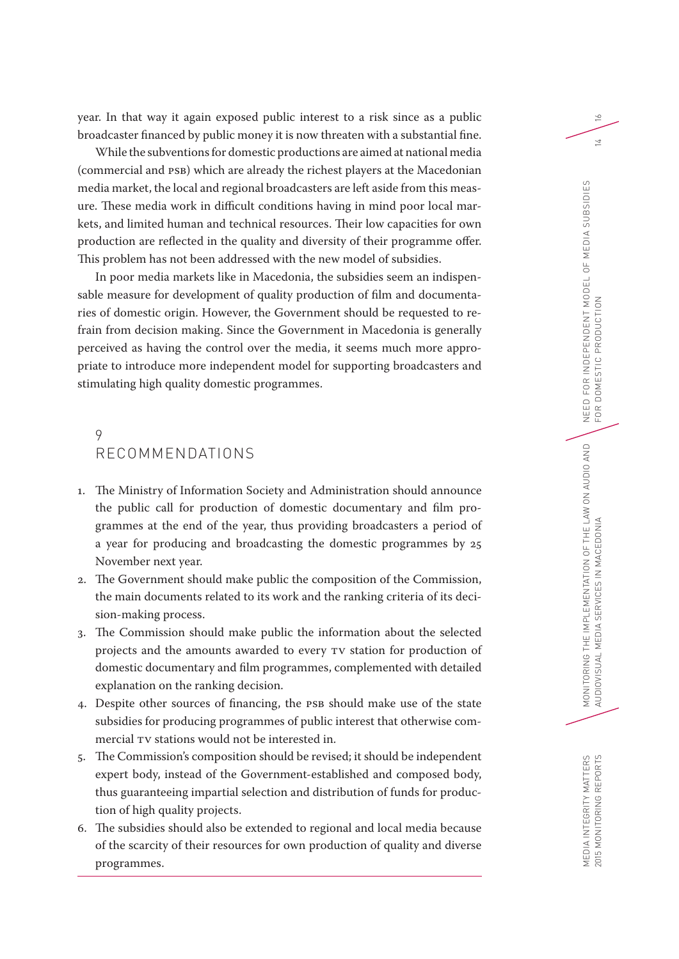year. In that way it again exposed public interest to a risk since as a public broadcaster financed by public money it is now threaten with a substantial fine.

While the subventions for domestic productions are aimed at national media (commercial and PSB) which are already the richest players at the Macedonian media market, the local and regional broadcasters are left aside from this measure. These media work in difficult conditions having in mind poor local markets, and limited human and technical resources. Their low capacities for own production are reflected in the quality and diversity of their programme offer. This problem has not been addressed with the new model of subsidies.

In poor media markets like in Macedonia, the subsidies seem an indispensable measure for development of quality production of film and documentaries of domestic origin. However, the Government should be requested to refrain from decision making. Since the Government in Macedonia is generally perceived as having the control over the media, it seems much more appropriate to introduce more independent model for supporting broadcasters and stimulating high quality domestic programmes.

# 9 RECOMMENDATIONS

- 1. The Ministry of Information Society and Administration should announce the public call for production of domestic documentary and film programmes at the end of the year, thus providing broadcasters a period of a year for producing and broadcasting the domestic programmes by 25 November next year.
- 2. The Government should make public the composition of the Commission, the main documents related to its work and the ranking criteria of its decision-making process.
- 3. The Commission should make public the information about the selected projects and the amounts awarded to every TV station for production of domestic documentary and film programmes, complemented with detailed explanation on the ranking decision.
- 4. Despite other sources of financing, the PSB should make use of the state subsidies for producing programmes of public interest that otherwise commercial TV stations would not be interested in.
- 5. The Commission's composition should be revised; it should be independent expert body, instead of the Government-established and composed body, thus guaranteeing impartial selection and distribution of funds for production of high quality projects.
- 6. The subsidies should also be extended to regional and local media because of the scarcity of their resources for own production of quality and diverse programmes.

 $\geq$ 

MEDIA INTEGRITY MATTERS 2015 MONITORING REPORTS

MEDIA INTEGRITY MATTERS<br>2015 MONITORING REPORTS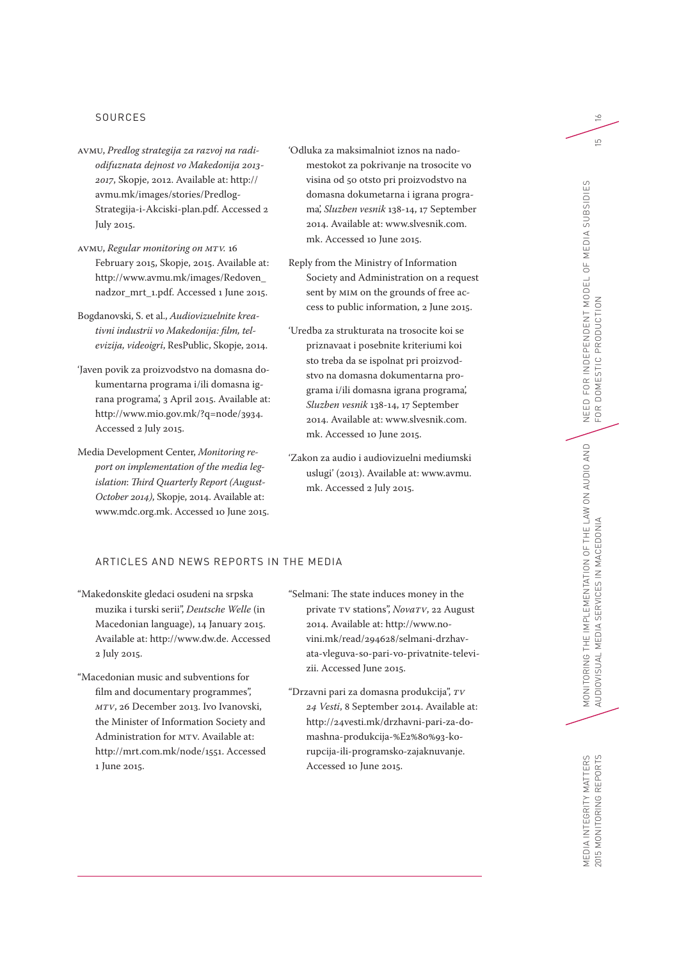#### SOURCES

- AVMU, *Predlog strategija za razvoj na radiodifuznata dejnost vo Makedonija 2013- 2017*, Skopje, 2012. Available at: http:// avmu.mk/images/stories/Predlog-Strategija-i-Akciski-plan.pdf. Accessed 2 July 2015.
- AVMU, *Regular monitoring on MTV.* 16 February 2015, Skopje, 2015. Available at: http://www.avmu.mk/images/Redoven\_ nadzor\_mrt\_1.pdf. Accessed 1 June 2015.
- Bogdanovski, S. et al., *Audiovizuelnite kreativni industrii vo Makedonija: film, televizija, videoigri*, ResPublic, Skopje, 2014.
- 'Javen povik za proizvodstvo na domasna dokumentarna programa i/ili domasna igrana programa', 3 April 2015. Available at: http://www.mio.gov.mk/?q=node/3934. Accessed 2 July 2015.
- Media Development Center, *Monitoring report on implementation of the media legislation*: *Third Quarterly Report (August-October 2014)*, Skopje, 2014. Available at: www.mdc.org.mk. Accessed 10 June 2015.
- 'Odluka za maksimalniot iznos na nadomestokot za pokrivanje na trosocite vo visina od 50 otsto pri proizvodstvo na domasna dokumetarna i igrana programa', *Sluzben vesnik* 138-14, 17 September 2014. Available at: www.slvesnik.com. mk. Accessed 10 June 2015.
- Reply from the Ministry of Information Society and Administration on a request sent by MIM on the grounds of free access to public information, 2 June 2015.
- 'Uredba za strukturata na trosocite koi se priznavaat i posebnite kriteriumi koi sto treba da se ispolnat pri proizvodstvo na domasna dokumentarna programa i/ili domasna igrana programa', *Sluzben vesnik* 138-14, 17 September 2014. Available at: www.slvesnik.com. mk. Accessed 10 June 2015.
- 'Zakon za audio i audiovizuelni mediumski uslugi' (2013). Available at: www.avmu. mk. Accessed 2 July 2015.

#### ARTICLES AND NEWS REPORTS IN THE MEDIA

- "Makedonskite gledaci osudeni na srpska muzika i turski serii", *Deutsche Welle* (in Macedonian language), 14 January 2015. Available at: http://www.dw.de. Accessed 2 July 2015.
- "Macedonian music and subventions for film and documentary programmes", *MTV*, 26 December 2013. Ivo Ivanovski, the Minister of Information Society and Administration for MTV. Available at: http://mrt.com.mk/node/1551. Accessed 1 June 2015.
- "Selmani: The state induces money in the private TV stations", *NovaTV*, 22 August 2014. Available at: http://www.novini.mk/read/294628/selmani-drzhavata-vleguva-so-pari-vo-privatnite-televizii. Accessed June 2015.
- "Drzavni pari za domasna produkcija", *TV 24 Vesti*, 8 September 2014. Available at: http://24vesti.mk/drzhavni-pari-za-domashna-produkcija-%E2%80%93-korupcija-ili-programsko-zajaknuvanje. Accessed 10 June 2015.

 $\geq$ 

 $\overline{5}$ 

MEDIA INTEGRITY MATTERS<br>2015 MONITORING REPORTS MEDIA INTEGRITY MATTERS 2015 MONITORING REPORTS